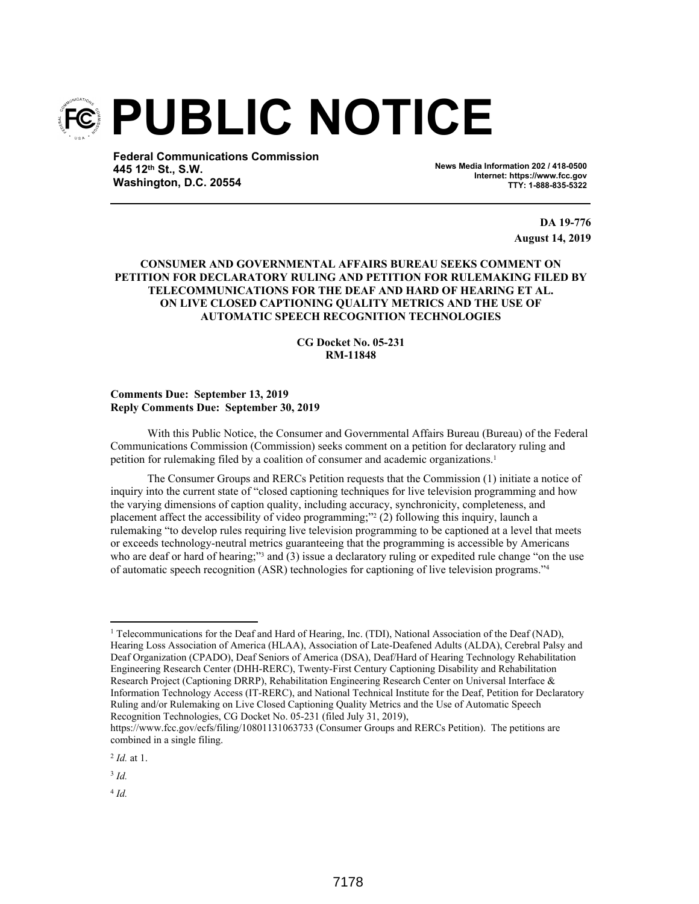

**Federal Communications Commission 445 12th St., S.W. Washington, D.C. 20554**

**News Media Information 202 / 418-0500 Internet: https://www.fcc.gov TTY: 1-888-835-5322**

> **DA 19-776 August 14, 2019**

## **CONSUMER AND GOVERNMENTAL AFFAIRS BUREAU SEEKS COMMENT ON PETITION FOR DECLARATORY RULING AND PETITION FOR RULEMAKING FILED BY TELECOMMUNICATIONS FOR THE DEAF AND HARD OF HEARING ET AL. ON LIVE CLOSED CAPTIONING QUALITY METRICS AND THE USE OF AUTOMATIC SPEECH RECOGNITION TECHNOLOGIES**

## **CG Docket No. 05-231 RM-11848**

## **Comments Due: September 13, 2019 Reply Comments Due: September 30, 2019**

With this Public Notice, the Consumer and Governmental Affairs Bureau (Bureau) of the Federal Communications Commission (Commission) seeks comment on a petition for declaratory ruling and petition for rulemaking filed by a coalition of consumer and academic organizations.<sup>1</sup>

The Consumer Groups and RERCs Petition requests that the Commission (1) initiate a notice of inquiry into the current state of "closed captioning techniques for live television programming and how the varying dimensions of caption quality, including accuracy, synchronicity, completeness, and placement affect the accessibility of video programming;" (2) following this inquiry, launch a rulemaking "to develop rules requiring live television programming to be captioned at a level that meets or exceeds technology-neutral metrics guaranteeing that the programming is accessible by Americans who are deaf or hard of hearing;"<sup>3</sup> and (3) issue a declaratory ruling or expedited rule change "on the use of automatic speech recognition (ASR) technologies for captioning of live television programs."<sup>4</sup>

4 *Id.*

<sup>&</sup>lt;sup>1</sup> Telecommunications for the Deaf and Hard of Hearing, Inc. (TDI), National Association of the Deaf (NAD), Hearing Loss Association of America (HLAA), Association of Late-Deafened Adults (ALDA), Cerebral Palsy and Deaf Organization (CPADO), Deaf Seniors of America (DSA), Deaf/Hard of Hearing Technology Rehabilitation Engineering Research Center (DHH-RERC), Twenty-First Century Captioning Disability and Rehabilitation Research Project (Captioning DRRP), Rehabilitation Engineering Research Center on Universal Interface & Information Technology Access (IT-RERC), and National Technical Institute for the Deaf, Petition for Declaratory Ruling and/or Rulemaking on Live Closed Captioning Quality Metrics and the Use of Automatic Speech Recognition Technologies, CG Docket No. 05-231 (filed July 31, 2019),

https://www.fcc.gov/ecfs/filing/10801131063733 (Consumer Groups and RERCs Petition). The petitions are combined in a single filing.

<sup>2</sup> *Id.* at 1.

<sup>3</sup> *Id.*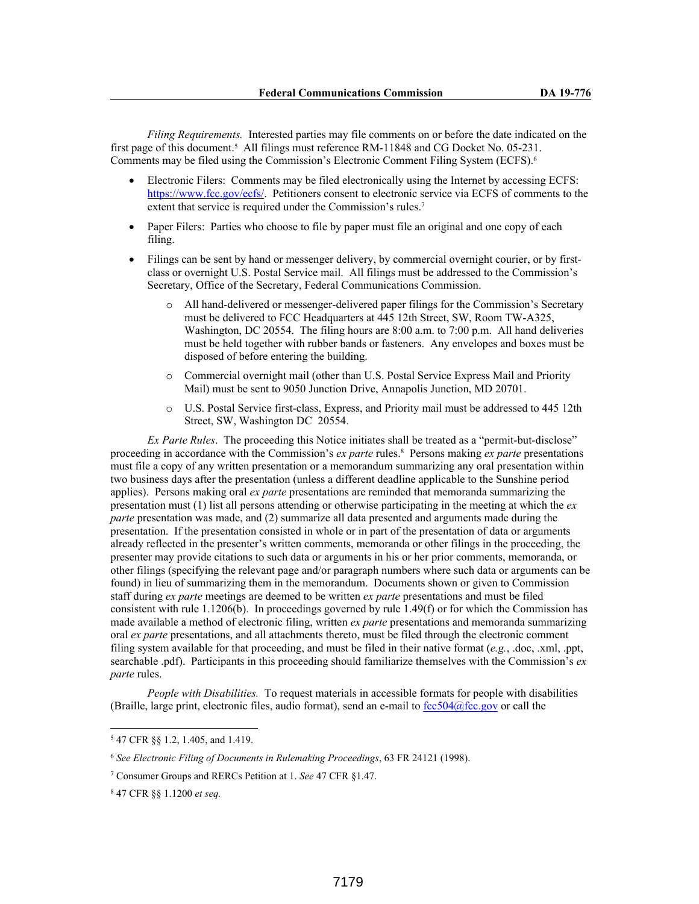*Filing Requirements.* Interested parties may file comments on or before the date indicated on the first page of this document.<sup>5</sup> All filings must reference RM-11848 and CG Docket No. 05-231. Comments may be filed using the Commission's Electronic Comment Filing System (ECFS).<sup>6</sup>

- Electronic Filers: Comments may be filed electronically using the Internet by accessing ECFS: https://www.fcc.gov/ecfs/. Petitioners consent to electronic service via ECFS of comments to the extent that service is required under the Commission's rules.<sup>7</sup>
- Paper Filers: Parties who choose to file by paper must file an original and one copy of each filing.
- Filings can be sent by hand or messenger delivery, by commercial overnight courier, or by firstclass or overnight U.S. Postal Service mail. All filings must be addressed to the Commission's Secretary, Office of the Secretary, Federal Communications Commission.
	- All hand-delivered or messenger-delivered paper filings for the Commission's Secretary must be delivered to FCC Headquarters at 445 12th Street, SW, Room TW-A325, Washington, DC 20554. The filing hours are 8:00 a.m. to 7:00 p.m. All hand deliveries must be held together with rubber bands or fasteners. Any envelopes and boxes must be disposed of before entering the building.
	- o Commercial overnight mail (other than U.S. Postal Service Express Mail and Priority Mail) must be sent to 9050 Junction Drive, Annapolis Junction, MD 20701.
	- o U.S. Postal Service first-class, Express, and Priority mail must be addressed to 445 12th Street, SW, Washington DC 20554.

*Ex Parte Rules*. The proceeding this Notice initiates shall be treated as a "permit-but-disclose" proceeding in accordance with the Commission's *ex parte* rules.<sup>8</sup> Persons making *ex parte* presentations must file a copy of any written presentation or a memorandum summarizing any oral presentation within two business days after the presentation (unless a different deadline applicable to the Sunshine period applies). Persons making oral *ex parte* presentations are reminded that memoranda summarizing the presentation must (1) list all persons attending or otherwise participating in the meeting at which the *ex parte* presentation was made, and (2) summarize all data presented and arguments made during the presentation. If the presentation consisted in whole or in part of the presentation of data or arguments already reflected in the presenter's written comments, memoranda or other filings in the proceeding, the presenter may provide citations to such data or arguments in his or her prior comments, memoranda, or other filings (specifying the relevant page and/or paragraph numbers where such data or arguments can be found) in lieu of summarizing them in the memorandum. Documents shown or given to Commission staff during *ex parte* meetings are deemed to be written *ex parte* presentations and must be filed consistent with rule 1.1206(b). In proceedings governed by rule 1.49(f) or for which the Commission has made available a method of electronic filing, written *ex parte* presentations and memoranda summarizing oral *ex parte* presentations, and all attachments thereto, must be filed through the electronic comment filing system available for that proceeding, and must be filed in their native format (*e.g.*, .doc, .xml, .ppt, searchable .pdf). Participants in this proceeding should familiarize themselves with the Commission's *ex parte* rules.

*People with Disabilities.* To request materials in accessible formats for people with disabilities (Braille, large print, electronic files, audio format), send an e-mail to  $fcc504@$  fcc.gov or call the

<sup>5</sup> 47 CFR §§ 1.2, 1.405, and 1.419.

<sup>6</sup> *See Electronic Filing of Documents in Rulemaking Proceedings*, 63 FR 24121 (1998).

<sup>7</sup> Consumer Groups and RERCs Petition at 1. *See* 47 CFR §1.47.

<sup>8</sup> 47 CFR §§ 1.1200 *et seq.*